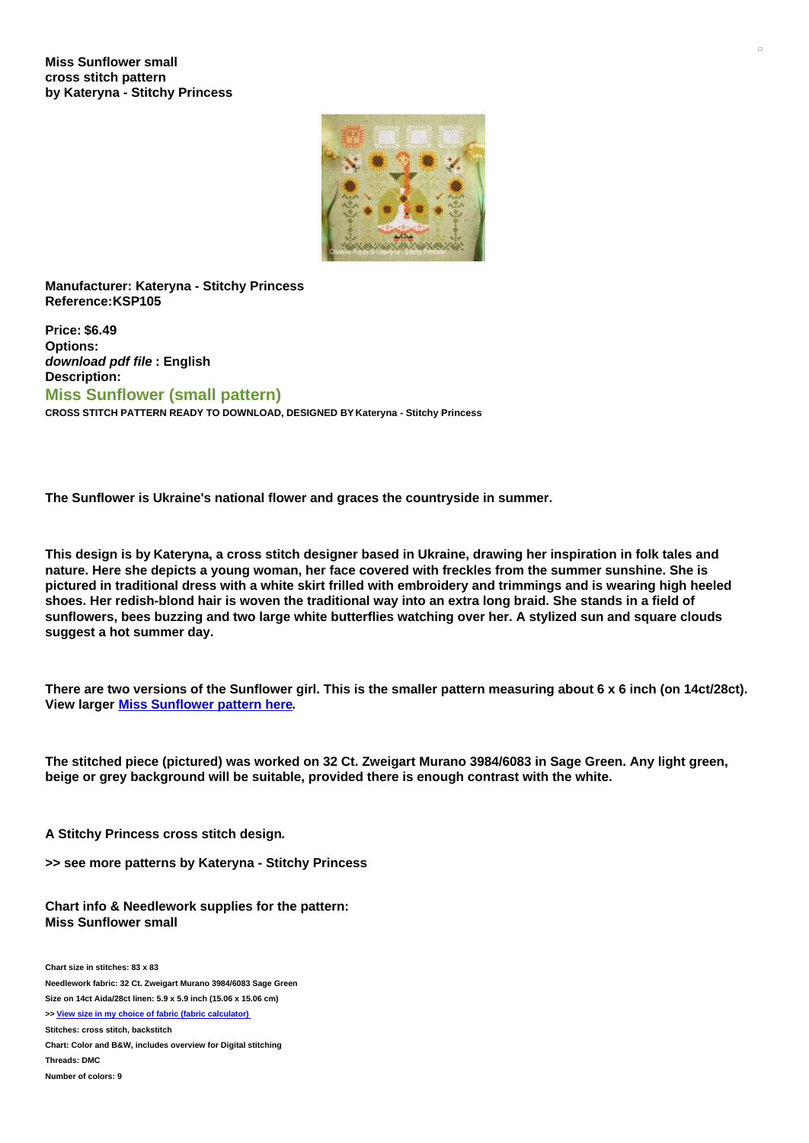

**Manufacturer: Kateryna - Stitchy Princess Reference:KSP105**

**Price: \$6.49 Options:** *download pdf file* **: English Description: Miss Sunflower (small pattern) CROSS STITCH PATTERN READY TO DOWNLOAD, DESIGNED BY Kateryna - Stitchy Princess**

**The Sunflower is Ukraine's national flower and graces the countryside in summer.**

This design is by Kateryna, a cross stitch designer based in Ukraine, drawing her inspiration in folk tales and nature. Here she depicts a young woman, her face covered with freckles from the summer sunshine. She is pictured in traditional dress with a white skirt frilled with embroidery and trimmings and is wearing high heeled shoes. Her redish-blond hair is woven the traditional way into an extra long braid. She stands in a field of sunflowers, bees buzzing and two large white butterflies watching over her. A stylized sun and square clouds **suggest a hot summer day.**

There are two versions of the Sunflower girl. This is the smaller pattern measuring about 6 x 6 inch (on 14ct/28ct). **View larger Miss [Sunflower](https://www.creativepoppypatterns.com/kateryna-stitchy-princess-miss-sunflower-cross-stitch-pattern-xml-296_717-3958.html) pattern here.**

The stitched piece (pictured) was worked on 32 Ct. Zweigart Murano 3984/6083 in Sage Green. Any light green, **beige or grey background will be suitable, provided there is enough contrast with the white.**

**A Stitchy Princess cross stitch design.**

**>> see more patterns by Kateryna - Stitchy Princess**

**Chart info & Needlework supplies for the pattern: Miss Sunflower small**

**Chart size in stitches: 83 x 83 Needlework fabric: 32 Ct. Zweigart Murano 3984/6083 Sage Green Size on 14ct Aida/28ct linen: 5.9 x 5.9 inch (15.06 x 15.06 cm) >> View size in my choice of fabric (fabric [calculator\)](https://www.creativepoppypatterns.com/calculette-de-toile.php?products_id=3959&w=83&h=83) Stitches: cross stitch, backstitch Chart: Color and B&W, includes overview for Digital stitching Threads: DMC Number of colors: 9**